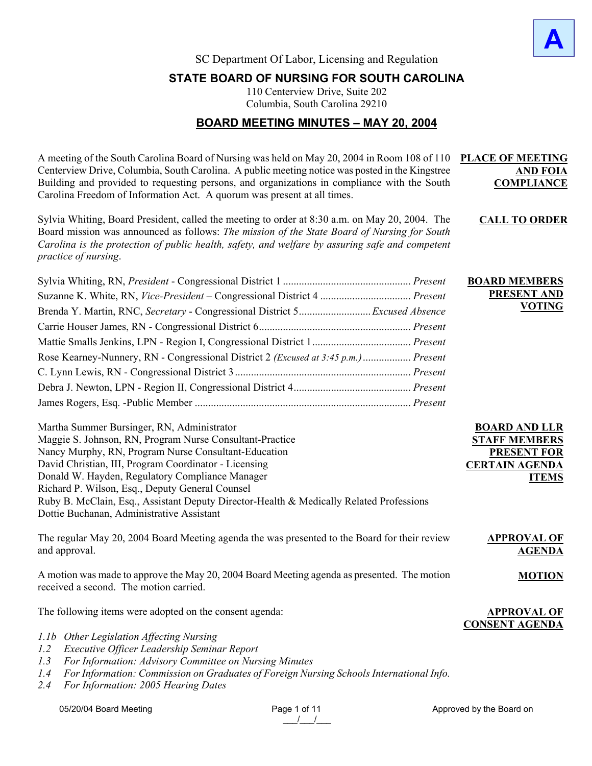

**CALL TO ORDER**

**BOARD MEMBERS PRESENT AND** 

**BOARD AND LLR STAFF MEMBERS PRESENT FOR CERTAIN AGENDA** 

**ITEMS**

**AGENDA**

**MOTION**

**APPROVAL OF CONSENT AGENDA**

**VOTING**

SC Department Of Labor, Licensing and Regulation

# **STATE BOARD OF NURSING FOR SOUTH CAROLINA**

110 Centerview Drive, Suite 202 Columbia, South Carolina 29210

# **BOARD MEETING MINUTES – MAY 20, 2004**

A meeting of the South Carolina Board of Nursing was held on May 20, 2004 in Room 108 of 110 **PLACE OF MEETING**  Centerview Drive, Columbia, South Carolina. A public meeting notice was posted in the Kingstree Building and provided to requesting persons, and organizations in compliance with the South Carolina Freedom of Information Act. A quorum was present at all times. **AND FOIA COMPLIANCE**

Sylvia Whiting, Board President, called the meeting to order at 8:30 a.m. on May 20, 2004. The Board mission was announced as follows: *The mission of the State Board of Nursing for South Carolina is the protection of public health, safety, and welfare by assuring safe and competent practice of nursing*.

| Brenda Y. Martin, RNC, Secretary - Congressional District 5Excused Absence          |  |
|-------------------------------------------------------------------------------------|--|
|                                                                                     |  |
|                                                                                     |  |
| Rose Kearney-Nunnery, RN - Congressional District 2 (Excused at 3:45 p.m.)  Present |  |
|                                                                                     |  |
|                                                                                     |  |
|                                                                                     |  |

| Martha Summer Bursinger, RN, Administrator                                              |
|-----------------------------------------------------------------------------------------|
| Maggie S. Johnson, RN, Program Nurse Consultant-Practice                                |
| Nancy Murphy, RN, Program Nurse Consultant-Education                                    |
| David Christian, III, Program Coordinator - Licensing                                   |
| Donald W. Hayden, Regulatory Compliance Manager                                         |
| Richard P. Wilson, Esq., Deputy General Counsel                                         |
| Ruby B. McClain, Esq., Assistant Deputy Director-Health & Medically Related Professions |
| Dottie Buchanan, Administrative Assistant                                               |

The regular May 20, 2004 Board Meeting agenda the was presented to the Board for their review and approval. **APPROVAL OF** 

A motion was made to approve the May 20, 2004 Board Meeting agenda as presented. The motion received a second. The motion carried.

The following items were adopted on the consent agenda:

- *1.1b Other Legislation Affecting Nursing*
- *1.2 Executive Officer Leadership Seminar Report*
- *1.3 For Information: Advisory Committee on Nursing Minutes*
- *1.4 For Information: Commission on Graduates of Foreign Nursing Schools International Info.*
- *2.4 For Information: 2005 Hearing Dates*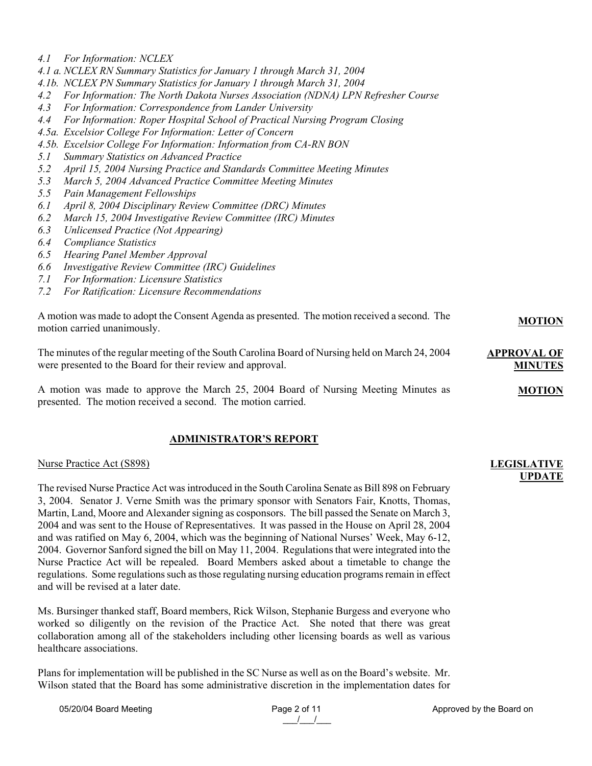- *4.1 For Information: NCLEX*
- *4.1 a. NCLEX RN Summary Statistics for January 1 through March 31, 2004*
- *4.1b. NCLEX PN Summary Statistics for January 1 through March 31, 2004*
- *4.2 For Information: The North Dakota Nurses Association (NDNA) LPN Refresher Course*
- *4.3 For Information: Correspondence from Lander University*
- *4.4 For Information: Roper Hospital School of Practical Nursing Program Closing*
- *4.5a. Excelsior College For Information: Letter of Concern*
- *4.5b. Excelsior College For Information: Information from CA-RN BON*
- *5.1 Summary Statistics on Advanced Practice*
- *5.2 April 15, 2004 Nursing Practice and Standards Committee Meeting Minutes*
- *5.3 March 5, 2004 Advanced Practice Committee Meeting Minutes*
- *5.5 Pain Management Fellowships*
- *6.1 April 8, 2004 Disciplinary Review Committee (DRC) Minutes*
- *6.2 March 15, 2004 Investigative Review Committee (IRC) Minutes*
- *6.3 Unlicensed Practice (Not Appearing)*
- *6.4 Compliance Statistics*
- *6.5 Hearing Panel Member Approval*
- *6.6 Investigative Review Committee (IRC) Guidelines*
- *7.1 For Information: Licensure Statistics*
- *7.2 For Ratification: Licensure Recommendations*

| A motion was made to adopt the Consent Agenda as presented. The motion received a second. The<br>motion carried unanimously.                                   | <b>MOTION</b>                        |
|----------------------------------------------------------------------------------------------------------------------------------------------------------------|--------------------------------------|
| The minutes of the regular meeting of the South Carolina Board of Nursing held on March 24, 2004<br>were presented to the Board for their review and approval. | <b>APPROVAL OF</b><br><b>MINUTES</b> |
| A motion was made to approve the March 25, 2004 Board of Nursing Meeting Minutes as<br>presented. The motion received a second. The motion carried.            | <b>MOTION</b>                        |

### **ADMINISTRATOR'S REPORT**

#### Nurse Practice Act (S898)

The revised Nurse Practice Act was introduced in the South Carolina Senate as Bill 898 on February 3, 2004. Senator J. Verne Smith was the primary sponsor with Senators Fair, Knotts, Thomas, Martin, Land, Moore and Alexander signing as cosponsors. The bill passed the Senate on March 3, 2004 and was sent to the House of Representatives. It was passed in the House on April 28, 2004 and was ratified on May 6, 2004, which was the beginning of National Nurses' Week, May 6-12, 2004. Governor Sanford signed the bill on May 11, 2004. Regulations that were integrated into the Nurse Practice Act will be repealed. Board Members asked about a timetable to change the regulations. Some regulations such as those regulating nursing education programs remain in effect and will be revised at a later date.

Ms. Bursinger thanked staff, Board members, Rick Wilson, Stephanie Burgess and everyone who worked so diligently on the revision of the Practice Act. She noted that there was great collaboration among all of the stakeholders including other licensing boards as well as various healthcare associations.

Plans for implementation will be published in the SC Nurse as well as on the Board's website. Mr. Wilson stated that the Board has some administrative discretion in the implementation dates for

**LEGISLATIVE** 

**UPDATE**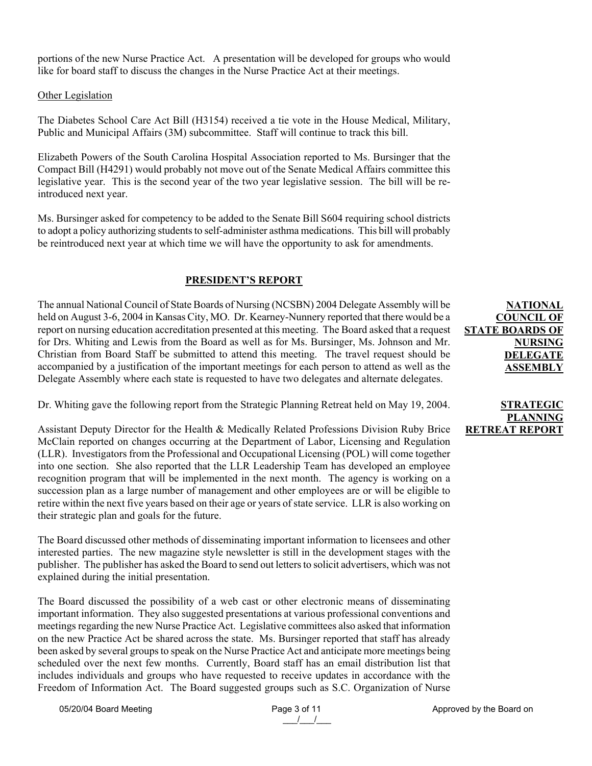portions of the new Nurse Practice Act. A presentation will be developed for groups who would like for board staff to discuss the changes in the Nurse Practice Act at their meetings.

### **Other Legislation**

The Diabetes School Care Act Bill (H3154) received a tie vote in the House Medical, Military, Public and Municipal Affairs (3M) subcommittee. Staff will continue to track this bill.

Elizabeth Powers of the South Carolina Hospital Association reported to Ms. Bursinger that the Compact Bill (H4291) would probably not move out of the Senate Medical Affairs committee this legislative year. This is the second year of the two year legislative session. The bill will be reintroduced next year.

Ms. Bursinger asked for competency to be added to the Senate Bill S604 requiring school districts to adopt a policy authorizing students to self-administer asthma medications. This bill will probably be reintroduced next year at which time we will have the opportunity to ask for amendments.

### **PRESIDENT'S REPORT**

The annual National Council of State Boards of Nursing (NCSBN) 2004 Delegate Assembly will be held on August 3-6, 2004 in Kansas City, MO. Dr. Kearney-Nunnery reported that there would be a report on nursing education accreditation presented at this meeting. The Board asked that a request for Drs. Whiting and Lewis from the Board as well as for Ms. Bursinger, Ms. Johnson and Mr. Christian from Board Staff be submitted to attend this meeting. The travel request should be accompanied by a justification of the important meetings for each person to attend as well as the Delegate Assembly where each state is requested to have two delegates and alternate delegates.

Dr. Whiting gave the following report from the Strategic Planning Retreat held on May 19, 2004.

Assistant Deputy Director for the Health & Medically Related Professions Division Ruby Brice McClain reported on changes occurring at the Department of Labor, Licensing and Regulation (LLR). Investigators from the Professional and Occupational Licensing (POL) will come together into one section. She also reported that the LLR Leadership Team has developed an employee recognition program that will be implemented in the next month. The agency is working on a succession plan as a large number of management and other employees are or will be eligible to retire within the next five years based on their age or years of state service. LLR is also working on their strategic plan and goals for the future.

The Board discussed other methods of disseminating important information to licensees and other interested parties. The new magazine style newsletter is still in the development stages with the publisher. The publisher has asked the Board to send out letters to solicit advertisers, which was not explained during the initial presentation.

The Board discussed the possibility of a web cast or other electronic means of disseminating important information. They also suggested presentations at various professional conventions and meetings regarding the new Nurse Practice Act. Legislative committees also asked that information on the new Practice Act be shared across the state. Ms. Bursinger reported that staff has already been asked by several groups to speak on the Nurse Practice Act and anticipate more meetings being scheduled over the next few months. Currently, Board staff has an email distribution list that includes individuals and groups who have requested to receive updates in accordance with the Freedom of Information Act. The Board suggested groups such as S.C. Organization of Nurse

# **NATIONAL COUNCIL OF STATE BOARDS OF NURSING DELEGATE ASSEMBLY**

### **STRATEGIC PLANNING RETREAT REPORT**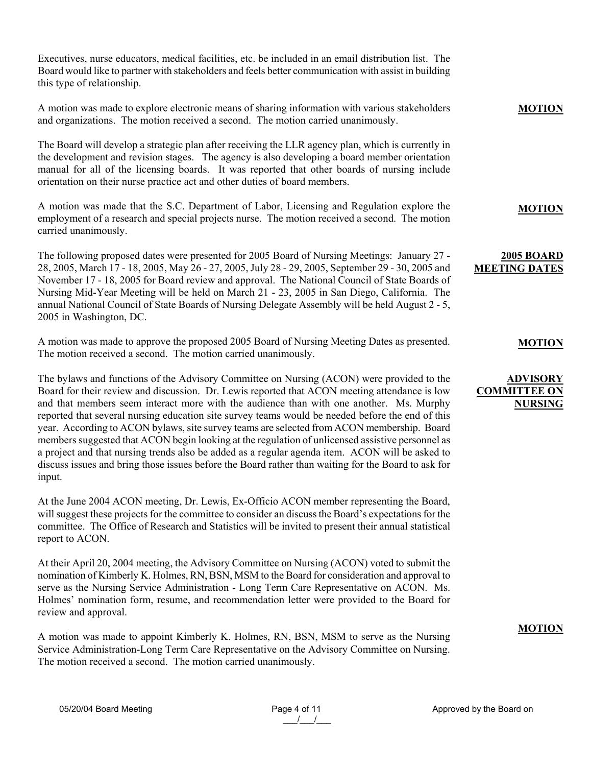Executives, nurse educators, medical facilities, etc. be included in an email distribution list. The Board would like to partner with stakeholders and feels better communication with assist in building this type of relationship.

#### A motion was made to explore electronic means of sharing information with various stakeholders and organizations. The motion received a second. The motion carried unanimously. **MOTION**

The Board will develop a strategic plan after receiving the LLR agency plan, which is currently in the development and revision stages. The agency is also developing a board member orientation manual for all of the licensing boards. It was reported that other boards of nursing include orientation on their nurse practice act and other duties of board members.

A motion was made that the S.C. Department of Labor, Licensing and Regulation explore the employment of a research and special projects nurse. The motion received a second. The motion carried unanimously.

The following proposed dates were presented for 2005 Board of Nursing Meetings: January 27 - 28, 2005, March 17 - 18, 2005, May 26 - 27, 2005, July 28 - 29, 2005, September 29 - 30, 2005 and November 17 - 18, 2005 for Board review and approval. The National Council of State Boards of Nursing Mid-Year Meeting will be held on March 21 - 23, 2005 in San Diego, California. The annual National Council of State Boards of Nursing Delegate Assembly will be held August 2 - 5, 2005 in Washington, DC.

A motion was made to approve the proposed 2005 Board of Nursing Meeting Dates as presented. The motion received a second. The motion carried unanimously.

The bylaws and functions of the Advisory Committee on Nursing (ACON) were provided to the Board for their review and discussion. Dr. Lewis reported that ACON meeting attendance is low and that members seem interact more with the audience than with one another. Ms. Murphy reported that several nursing education site survey teams would be needed before the end of this year. According to ACON bylaws, site survey teams are selected from ACON membership. Board members suggested that ACON begin looking at the regulation of unlicensed assistive personnel as a project and that nursing trends also be added as a regular agenda item. ACON will be asked to discuss issues and bring those issues before the Board rather than waiting for the Board to ask for input.

At the June 2004 ACON meeting, Dr. Lewis, Ex-Officio ACON member representing the Board, will suggest these projects for the committee to consider an discuss the Board's expectations for the committee. The Office of Research and Statistics will be invited to present their annual statistical report to ACON.

At their April 20, 2004 meeting, the Advisory Committee on Nursing (ACON) voted to submit the nomination of Kimberly K. Holmes, RN, BSN, MSM to the Board for consideration and approval to serve as the Nursing Service Administration - Long Term Care Representative on ACON. Ms. Holmes' nomination form, resume, and recommendation letter were provided to the Board for review and approval.

A motion was made to appoint Kimberly K. Holmes, RN, BSN, MSM to serve as the Nursing Service Administration-Long Term Care Representative on the Advisory Committee on Nursing. The motion received a second. The motion carried unanimously.

**MOTION**

# **2005 BOARD MEETING DATES**

**MOTION**

# **ADVISORY COMMITTEE ON NURSING**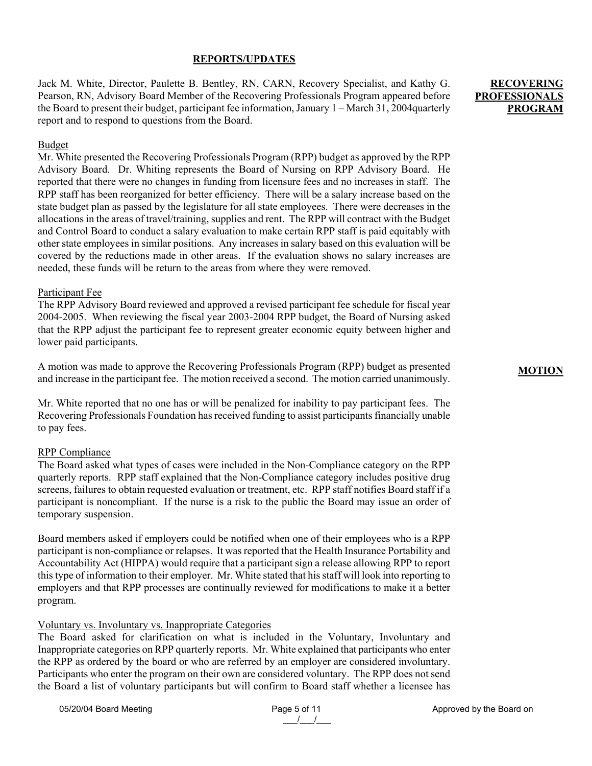# **REPORTS/UPDATES**

Jack M. White, Director, Paulette B. Bentley, RN, CARN, Recovery Specialist, and Kathy G. Pearson, RN, Advisory Board Member of the Recovering Professionals Program appeared before the Board to present their budget, participant fee information, January 1 – March 31, 2004quarterly report and to respond to questions from the Board.

### Budget

Mr. White presented the Recovering Professionals Program (RPP) budget as approved by the RPP Advisory Board. Dr. Whiting represents the Board of Nursing on RPP Advisory Board. He reported that there were no changes in funding from licensure fees and no increases in staff. The RPP staff has been reorganized for better efficiency. There will be a salary increase based on the state budget plan as passed by the legislature for all state employees. There were decreases in the allocations in the areas of travel/training, supplies and rent. The RPP will contract with the Budget and Control Board to conduct a salary evaluation to make certain RPP staff is paid equitably with other state employees in similar positions. Any increases in salary based on this evaluation will be covered by the reductions made in other areas. If the evaluation shows no salary increases are needed, these funds will be return to the areas from where they were removed.

### Participant Fee

The RPP Advisory Board reviewed and approved a revised participant fee schedule for fiscal year 2004-2005. When reviewing the fiscal year 2003-2004 RPP budget, the Board of Nursing asked that the RPP adjust the participant fee to represent greater economic equity between higher and lower paid participants.

A motion was made to approve the Recovering Professionals Program (RPP) budget as presented and increase in the participant fee. The motion received a second. The motion carried unanimously.

Mr. White reported that no one has or will be penalized for inability to pay participant fees. The Recovering Professionals Foundation has received funding to assist participants financially unable to pay fees.

### RPP Compliance

The Board asked what types of cases were included in the Non-Compliance category on the RPP quarterly reports. RPP staff explained that the Non-Compliance category includes positive drug screens, failures to obtain requested evaluation or treatment, etc. RPP staff notifies Board staff if a participant is noncompliant. If the nurse is a risk to the public the Board may issue an order of temporary suspension.

Board members asked if employers could be notified when one of their employees who is a RPP participant is non-compliance or relapses. It was reported that the Health Insurance Portability and Accountability Act (HIPPA) would require that a participant sign a release allowing RPP to report this type of information to their employer. Mr. White stated that his staff will look into reporting to employers and that RPP processes are continually reviewed for modifications to make it a better program.

### Voluntary vs. Involuntary vs. Inappropriate Categories

The Board asked for clarification on what is included in the Voluntary, Involuntary and Inappropriate categories on RPP quarterly reports. Mr. White explained that participants who enter the RPP as ordered by the board or who are referred by an employer are considered involuntary. Participants who enter the program on their own are considered voluntary. The RPP does not send the Board a list of voluntary participants but will confirm to Board staff whether a licensee has

# **RECOVERING PROFESSIONALS PROGRAM**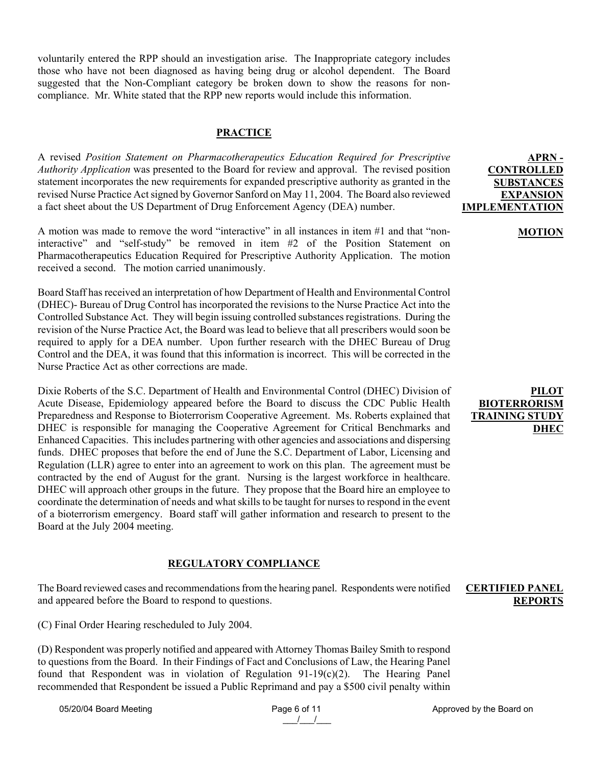voluntarily entered the RPP should an investigation arise. The Inappropriate category includes those who have not been diagnosed as having being drug or alcohol dependent. The Board suggested that the Non-Compliant category be broken down to show the reasons for noncompliance. Mr. White stated that the RPP new reports would include this information.

# **PRACTICE**

A revised *Position Statement on Pharmacotherapeutics Education Required for Prescriptive Authority Application* was presented to the Board for review and approval. The revised position statement incorporates the new requirements for expanded prescriptive authority as granted in the revised Nurse Practice Act signed by Governor Sanford on May 11, 2004. The Board also reviewed a fact sheet about the US Department of Drug Enforcement Agency (DEA) number.

A motion was made to remove the word "interactive" in all instances in item #1 and that "noninteractive" and "self-study" be removed in item #2 of the Position Statement on Pharmacotherapeutics Education Required for Prescriptive Authority Application. The motion received a second. The motion carried unanimously.

Board Staff has received an interpretation of how Department of Health and Environmental Control (DHEC)- Bureau of Drug Control has incorporated the revisions to the Nurse Practice Act into the Controlled Substance Act. They will begin issuing controlled substances registrations. During the revision of the Nurse Practice Act, the Board was lead to believe that all prescribers would soon be required to apply for a DEA number. Upon further research with the DHEC Bureau of Drug Control and the DEA, it was found that this information is incorrect. This will be corrected in the Nurse Practice Act as other corrections are made.

Dixie Roberts of the S.C. Department of Health and Environmental Control (DHEC) Division of Acute Disease, Epidemiology appeared before the Board to discuss the CDC Public Health Preparedness and Response to Bioterrorism Cooperative Agreement. Ms. Roberts explained that DHEC is responsible for managing the Cooperative Agreement for Critical Benchmarks and Enhanced Capacities. This includes partnering with other agencies and associations and dispersing funds. DHEC proposes that before the end of June the S.C. Department of Labor, Licensing and Regulation (LLR) agree to enter into an agreement to work on this plan. The agreement must be contracted by the end of August for the grant. Nursing is the largest workforce in healthcare. DHEC will approach other groups in the future. They propose that the Board hire an employee to coordinate the determination of needs and what skills to be taught for nurses to respond in the event of a bioterrorism emergency. Board staff will gather information and research to present to the Board at the July 2004 meeting.

### **REGULATORY COMPLIANCE**

The Board reviewed cases and recommendations from the hearing panel. Respondents were notified and appeared before the Board to respond to questions.

(C) Final Order Hearing rescheduled to July 2004.

(D) Respondent was properly notified and appeared with Attorney Thomas Bailey Smith to respond to questions from the Board. In their Findings of Fact and Conclusions of Law, the Hearing Panel found that Respondent was in violation of Regulation  $91-19(c)(2)$ . The Hearing Panel recommended that Respondent be issued a Public Reprimand and pay a \$500 civil penalty within

05/20/04 Board Meeting example and the Page 6 of 11 Approved by the Board on

### **APRN - CONTROLLED SUBSTANCES EXPANSION IMPLEMENTATION**

#### **MOTION**

## **PILOT BIOTERRORISM TRAINING STUDY DHEC**

### **CERTIFIED PANEL REPORTS**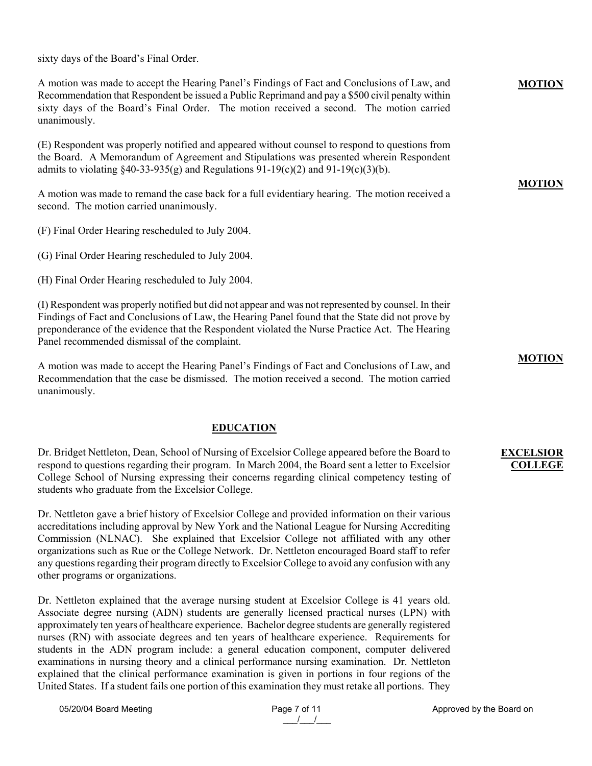sixty days of the Board's Final Order.

A motion was made to accept the Hearing Panel's Findings of Fact and Conclusions of Law, and Recommendation that Respondent be issued a Public Reprimand and pay a \$500 civil penalty within sixty days of the Board's Final Order. The motion received a second. The motion carried unanimously.

(E) Respondent was properly notified and appeared without counsel to respond to questions from the Board. A Memorandum of Agreement and Stipulations was presented wherein Respondent admits to violating  $\langle 40-33-935(\text{g}) \rangle$  and Regulations  $91-19(\text{c})(2)$  and  $91-19(\text{c})(3)(\text{b})$ .

A motion was made to remand the case back for a full evidentiary hearing. The motion received a second. The motion carried unanimously.

(F) Final Order Hearing rescheduled to July 2004.

(G) Final Order Hearing rescheduled to July 2004.

(H) Final Order Hearing rescheduled to July 2004.

(I) Respondent was properly notified but did not appear and was not represented by counsel. In their Findings of Fact and Conclusions of Law, the Hearing Panel found that the State did not prove by preponderance of the evidence that the Respondent violated the Nurse Practice Act. The Hearing Panel recommended dismissal of the complaint.

A motion was made to accept the Hearing Panel's Findings of Fact and Conclusions of Law, and Recommendation that the case be dismissed. The motion received a second. The motion carried unanimously.

# **EDUCATION**

Dr. Bridget Nettleton, Dean, School of Nursing of Excelsior College appeared before the Board to respond to questions regarding their program. In March 2004, the Board sent a letter to Excelsior College School of Nursing expressing their concerns regarding clinical competency testing of students who graduate from the Excelsior College.

Dr. Nettleton gave a brief history of Excelsior College and provided information on their various accreditations including approval by New York and the National League for Nursing Accrediting Commission (NLNAC). She explained that Excelsior College not affiliated with any other organizations such as Rue or the College Network. Dr. Nettleton encouraged Board staff to refer any questions regarding their program directly to Excelsior College to avoid any confusion with any other programs or organizations.

Dr. Nettleton explained that the average nursing student at Excelsior College is 41 years old. Associate degree nursing (ADN) students are generally licensed practical nurses (LPN) with approximately ten years of healthcare experience. Bachelor degree students are generally registered nurses (RN) with associate degrees and ten years of healthcare experience. Requirements for students in the ADN program include: a general education component, computer delivered examinations in nursing theory and a clinical performance nursing examination. Dr. Nettleton explained that the clinical performance examination is given in portions in four regions of the United States. If a student fails one portion of this examination they must retake all portions. They

### **MOTION**

**MOTION**

#### **MOTION**

### **EXCELSIOR COLLEGE**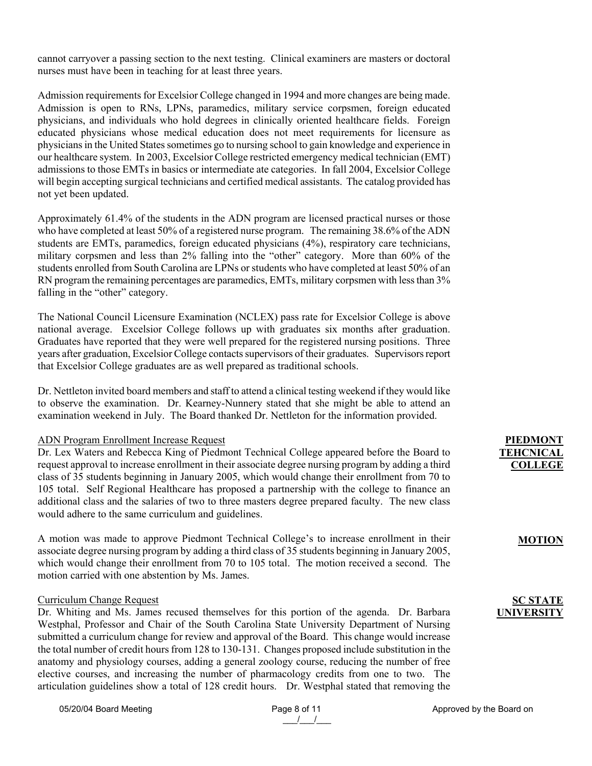cannot carryover a passing section to the next testing. Clinical examiners are masters or doctoral nurses must have been in teaching for at least three years.

Admission requirements for Excelsior College changed in 1994 and more changes are being made. Admission is open to RNs, LPNs, paramedics, military service corpsmen, foreign educated physicians, and individuals who hold degrees in clinically oriented healthcare fields. Foreign educated physicians whose medical education does not meet requirements for licensure as physicians in the United States sometimes go to nursing school to gain knowledge and experience in our healthcare system. In 2003, Excelsior College restricted emergency medical technician (EMT) admissions to those EMTs in basics or intermediate ate categories. In fall 2004, Excelsior College will begin accepting surgical technicians and certified medical assistants. The catalog provided has not yet been updated.

Approximately 61.4% of the students in the ADN program are licensed practical nurses or those who have completed at least 50% of a registered nurse program. The remaining 38.6% of the ADN students are EMTs, paramedics, foreign educated physicians (4%), respiratory care technicians, military corpsmen and less than 2% falling into the "other" category. More than 60% of the students enrolled from South Carolina are LPNs or students who have completed at least 50% of an RN program the remaining percentages are paramedics, EMTs, military corpsmen with less than 3% falling in the "other" category.

The National Council Licensure Examination (NCLEX) pass rate for Excelsior College is above national average. Excelsior College follows up with graduates six months after graduation. Graduates have reported that they were well prepared for the registered nursing positions. Three years after graduation, Excelsior College contacts supervisors of their graduates. Supervisors report that Excelsior College graduates are as well prepared as traditional schools.

Dr. Nettleton invited board members and staff to attend a clinical testing weekend if they would like to observe the examination. Dr. Kearney-Nunnery stated that she might be able to attend an examination weekend in July. The Board thanked Dr. Nettleton for the information provided.

#### ADN Program Enrollment Increase Request

Dr. Lex Waters and Rebecca King of Piedmont Technical College appeared before the Board to request approval to increase enrollment in their associate degree nursing program by adding a third class of 35 students beginning in January 2005, which would change their enrollment from 70 to 105 total. Self Regional Healthcare has proposed a partnership with the college to finance an additional class and the salaries of two to three masters degree prepared faculty. The new class would adhere to the same curriculum and guidelines.

A motion was made to approve Piedmont Technical College's to increase enrollment in their associate degree nursing program by adding a third class of 35 students beginning in January 2005, which would change their enrollment from 70 to 105 total. The motion received a second. The motion carried with one abstention by Ms. James.

#### Curriculum Change Request

Dr. Whiting and Ms. James recused themselves for this portion of the agenda. Dr. Barbara Westphal, Professor and Chair of the South Carolina State University Department of Nursing submitted a curriculum change for review and approval of the Board. This change would increase the total number of credit hours from 128 to 130-131. Changes proposed include substitution in the anatomy and physiology courses, adding a general zoology course, reducing the number of free elective courses, and increasing the number of pharmacology credits from one to two. The articulation guidelines show a total of 128 credit hours. Dr. Westphal stated that removing the

05/20/04 Board Meeting example and the Page 8 of 11 Approved by the Board on

# **PIEDMONT TEHCNICAL COLLEGE**

#### **MOTION**

# **SC STATE UNIVERSITY**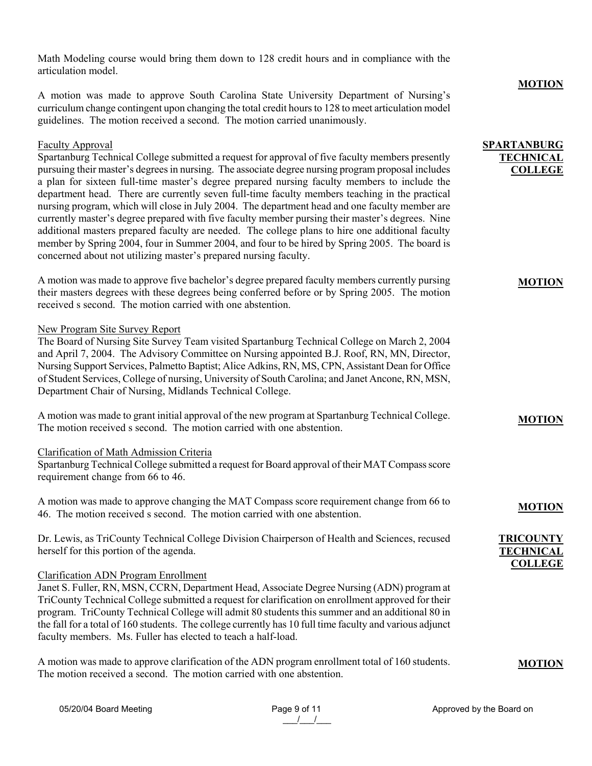Math Modeling course would bring them down to 128 credit hours and in compliance with the articulation model.

A motion was made to approve South Carolina State University Department of Nursing's curriculum change contingent upon changing the total credit hours to 128 to meet articulation model guidelines. The motion received a second. The motion carried unanimously.

### Faculty Approval

Spartanburg Technical College submitted a request for approval of five faculty members presently pursuing their master's degrees in nursing. The associate degree nursing program proposal includes a plan for sixteen full-time master's degree prepared nursing faculty members to include the department head. There are currently seven full-time faculty members teaching in the practical nursing program, which will close in July 2004. The department head and one faculty member are currently master's degree prepared with five faculty member pursing their master's degrees. Nine additional masters prepared faculty are needed. The college plans to hire one additional faculty member by Spring 2004, four in Summer 2004, and four to be hired by Spring 2005. The board is concerned about not utilizing master's prepared nursing faculty.

A motion was made to approve five bachelor's degree prepared faculty members currently pursing their masters degrees with these degrees being conferred before or by Spring 2005. The motion received s second. The motion carried with one abstention.

### New Program Site Survey Report

The Board of Nursing Site Survey Team visited Spartanburg Technical College on March 2, 2004 and April 7, 2004. The Advisory Committee on Nursing appointed B.J. Roof, RN, MN, Director, Nursing Support Services, Palmetto Baptist; Alice Adkins, RN, MS, CPN, Assistant Dean for Office of Student Services, College of nursing, University of South Carolina; and Janet Ancone, RN, MSN, Department Chair of Nursing, Midlands Technical College.

A motion was made to grant initial approval of the new program at Spartanburg Technical College. The motion received s second. The motion carried with one abstention.

#### Clarification of Math Admission Criteria

Spartanburg Technical College submitted a request for Board approval of their MAT Compass score requirement change from 66 to 46.

A motion was made to approve changing the MAT Compass score requirement change from 66 to 46. The motion received s second. The motion carried with one abstention.

Dr. Lewis, as TriCounty Technical College Division Chairperson of Health and Sciences, recused herself for this portion of the agenda.

#### Clarification ADN Program Enrollment

Janet S. Fuller, RN, MSN, CCRN, Department Head, Associate Degree Nursing (ADN) program at TriCounty Technical College submitted a request for clarification on enrollment approved for their program. TriCounty Technical College will admit 80 students this summer and an additional 80 in the fall for a total of 160 students. The college currently has 10 full time faculty and various adjunct faculty members. Ms. Fuller has elected to teach a half-load.

A motion was made to approve clarification of the ADN program enrollment total of 160 students. The motion received a second. The motion carried with one abstention.

#### **MOTION**

### **SPARTANBURG TECHNICAL COLLEGE**

### **MOTION**

# **MOTION**

### **MOTION**

# **TRICOUNTY TECHNICAL COLLEGE**

| Page 9 of 11 |  |
|--------------|--|
|              |  |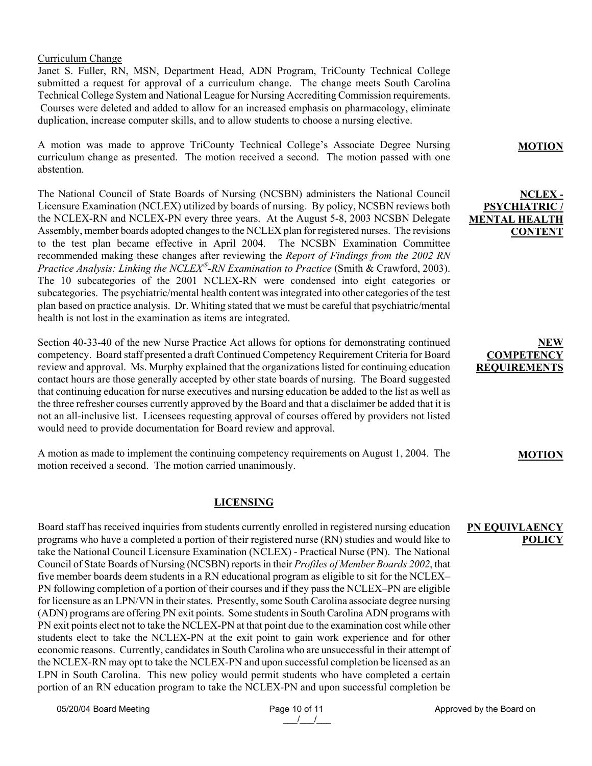Curriculum Change

Janet S. Fuller, RN, MSN, Department Head, ADN Program, TriCounty Technical College submitted a request for approval of a curriculum change. The change meets South Carolina Technical College System and National League for Nursing Accrediting Commission requirements. Courses were deleted and added to allow for an increased emphasis on pharmacology, eliminate duplication, increase computer skills, and to allow students to choose a nursing elective.

A motion was made to approve TriCounty Technical College's Associate Degree Nursing curriculum change as presented. The motion received a second. The motion passed with one abstention.

The National Council of State Boards of Nursing (NCSBN) administers the National Council Licensure Examination (NCLEX) utilized by boards of nursing. By policy, NCSBN reviews both the NCLEX-RN and NCLEX-PN every three years. At the August 5-8, 2003 NCSBN Delegate Assembly, member boards adopted changes to the NCLEX plan for registered nurses. The revisions to the test plan became effective in April 2004. The NCSBN Examination Committee recommended making these changes after reviewing the *Report of Findings from the 2002 RN Practice Analysis: Linking the NCLEX<sup>®</sup>-RN Examination to Practice (Smith & Crawford, 2003).* The 10 subcategories of the 2001 NCLEX-RN were condensed into eight categories or subcategories. The psychiatric/mental health content was integrated into other categories of the test plan based on practice analysis. Dr. Whiting stated that we must be careful that psychiatric/mental health is not lost in the examination as items are integrated.

Section 40-33-40 of the new Nurse Practice Act allows for options for demonstrating continued competency. Board staff presented a draft Continued Competency Requirement Criteria for Board review and approval. Ms. Murphy explained that the organizations listed for continuing education contact hours are those generally accepted by other state boards of nursing. The Board suggested that continuing education for nurse executives and nursing education be added to the list as well as the three refresher courses currently approved by the Board and that a disclaimer be added that it is not an all-inclusive list. Licensees requesting approval of courses offered by providers not listed would need to provide documentation for Board review and approval.

A motion as made to implement the continuing competency requirements on August 1, 2004. The motion received a second. The motion carried unanimously.

# **LICENSING**

Board staff has received inquiries from students currently enrolled in registered nursing education programs who have a completed a portion of their registered nurse (RN) studies and would like to take the National Council Licensure Examination (NCLEX) - Practical Nurse (PN). The National Council of State Boards of Nursing (NCSBN) reports in their *Profiles of Member Boards 2002*, that five member boards deem students in a RN educational program as eligible to sit for the NCLEX– PN following completion of a portion of their courses and if they pass the NCLEX–PN are eligible for licensure as an LPN/VN in their states. Presently, some South Carolina associate degree nursing (ADN) programs are offering PN exit points. Some students in South Carolina ADN programs with PN exit points elect not to take the NCLEX-PN at that point due to the examination cost while other students elect to take the NCLEX-PN at the exit point to gain work experience and for other economic reasons. Currently, candidates in South Carolina who are unsuccessful in their attempt of the NCLEX-RN may opt to take the NCLEX-PN and upon successful completion be licensed as an LPN in South Carolina. This new policy would permit students who have completed a certain portion of an RN education program to take the NCLEX-PN and upon successful completion be

**MOTION**

# **NCLEX - PSYCHIATRIC / MENTAL HEALTH CONTENT**

# **NEW COMPETEN REQUIREMEN**

### **MOTION**

### **PN EQUIVLAENCY POLICY**